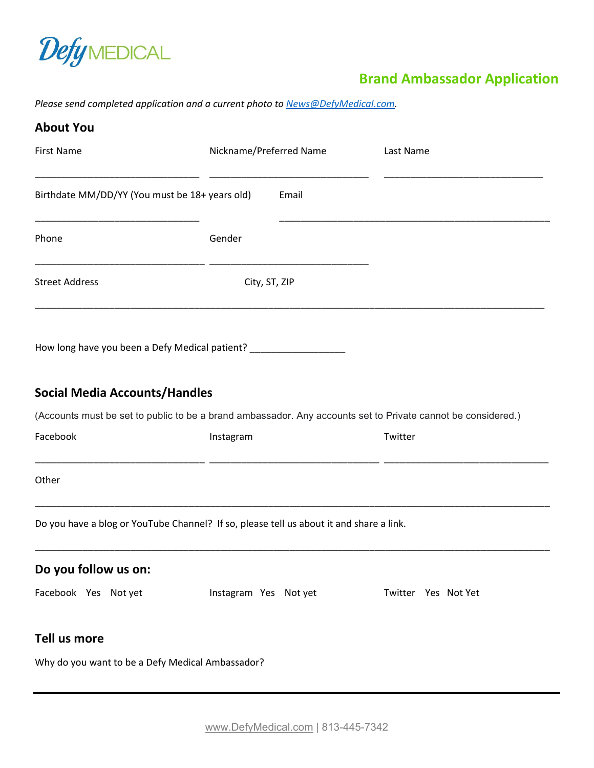

## **Brand Ambassador Application**

*Please send completed application and a current photo to [News@DefyMedical.com.](mailto:News@DefyMedical.com)* 

| <b>About You</b>                                                                                             |                         |       |                     |
|--------------------------------------------------------------------------------------------------------------|-------------------------|-------|---------------------|
| <b>First Name</b>                                                                                            | Nickname/Preferred Name |       | Last Name           |
| Birthdate MM/DD/YY (You must be 18+ years old)                                                               |                         | Email |                     |
| Phone                                                                                                        | Gender                  |       |                     |
| <b>Street Address</b>                                                                                        | City, ST, ZIP           |       |                     |
| How long have you been a Defy Medical patient? __________________                                            |                         |       |                     |
| <b>Social Media Accounts/Handles</b>                                                                         |                         |       |                     |
| (Accounts must be set to public to be a brand ambassador. Any accounts set to Private cannot be considered.) |                         |       |                     |
| Facebook                                                                                                     | Instagram               |       | Twitter             |
| Other                                                                                                        |                         |       |                     |
| Do you have a blog or YouTube Channel? If so, please tell us about it and share a link.                      |                         |       |                     |
| Do you follow us on:                                                                                         |                         |       |                     |
| Facebook Yes Not yet                                                                                         | Instagram Yes Not yet   |       | Twitter Yes Not Yet |
| Tell us more                                                                                                 |                         |       |                     |
| Why do you want to be a Defy Medical Ambassador?                                                             |                         |       |                     |